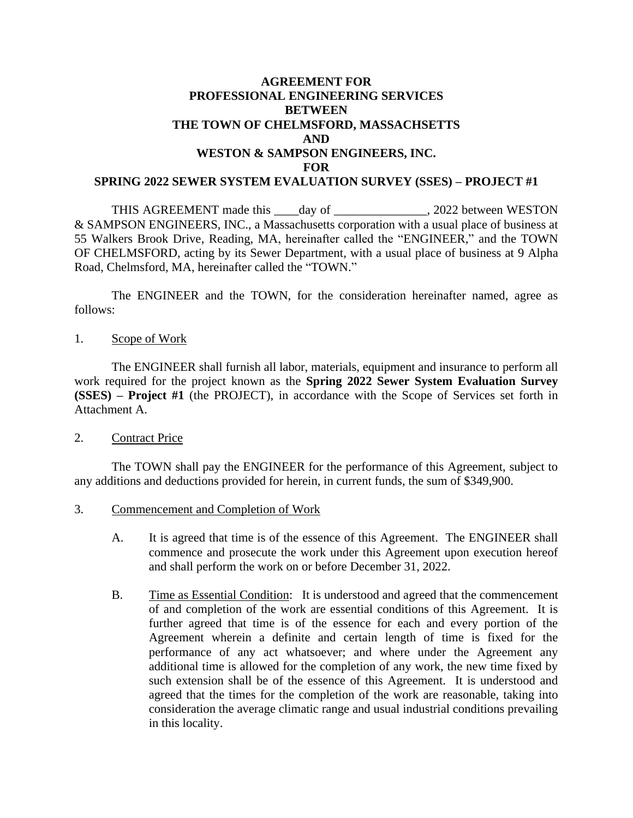# **AGREEMENT FOR PROFESSIONAL ENGINEERING SERVICES BETWEEN THE TOWN OF CHELMSFORD, MASSACHSETTS AND WESTON & SAMPSON ENGINEERS, INC. FOR SPRING 2022 SEWER SYSTEM EVALUATION SURVEY (SSES) – PROJECT #1**

THIS AGREEMENT made this \_\_\_\_day of \_\_\_\_\_\_\_\_\_\_\_\_\_\_\_, 2022 between WESTON & SAMPSON ENGINEERS, INC., a Massachusetts corporation with a usual place of business at 55 Walkers Brook Drive, Reading, MA, hereinafter called the "ENGINEER," and the TOWN OF CHELMSFORD, acting by its Sewer Department, with a usual place of business at 9 Alpha Road, Chelmsford, MA, hereinafter called the "TOWN."

The ENGINEER and the TOWN, for the consideration hereinafter named, agree as follows:

1. Scope of Work

The ENGINEER shall furnish all labor, materials, equipment and insurance to perform all work required for the project known as the **Spring 2022 Sewer System Evaluation Survey (SSES) – Project #1** (the PROJECT), in accordance with the Scope of Services set forth in Attachment A.

2. Contract Price

The TOWN shall pay the ENGINEER for the performance of this Agreement, subject to any additions and deductions provided for herein, in current funds, the sum of \$349,900.

- 3. Commencement and Completion of Work
	- A. It is agreed that time is of the essence of this Agreement. The ENGINEER shall commence and prosecute the work under this Agreement upon execution hereof and shall perform the work on or before December 31, 2022.
	- B. Time as Essential Condition: It is understood and agreed that the commencement of and completion of the work are essential conditions of this Agreement. It is further agreed that time is of the essence for each and every portion of the Agreement wherein a definite and certain length of time is fixed for the performance of any act whatsoever; and where under the Agreement any additional time is allowed for the completion of any work, the new time fixed by such extension shall be of the essence of this Agreement. It is understood and agreed that the times for the completion of the work are reasonable, taking into consideration the average climatic range and usual industrial conditions prevailing in this locality.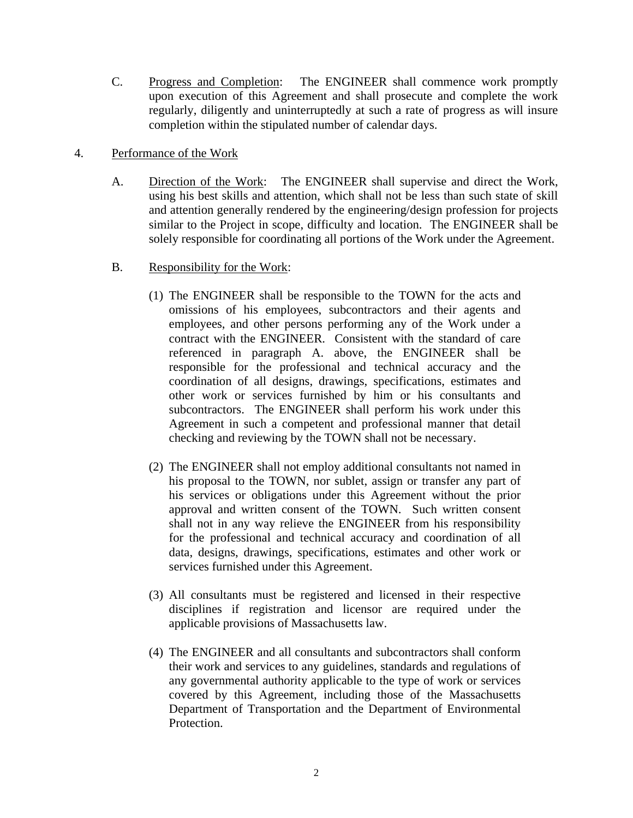C. Progress and Completion: The ENGINEER shall commence work promptly upon execution of this Agreement and shall prosecute and complete the work regularly, diligently and uninterruptedly at such a rate of progress as will insure completion within the stipulated number of calendar days.

# 4. Performance of the Work

- A. Direction of the Work: The ENGINEER shall supervise and direct the Work, using his best skills and attention, which shall not be less than such state of skill and attention generally rendered by the engineering/design profession for projects similar to the Project in scope, difficulty and location. The ENGINEER shall be solely responsible for coordinating all portions of the Work under the Agreement.
- B. Responsibility for the Work:
	- (1) The ENGINEER shall be responsible to the TOWN for the acts and omissions of his employees, subcontractors and their agents and employees, and other persons performing any of the Work under a contract with the ENGINEER. Consistent with the standard of care referenced in paragraph A. above, the ENGINEER shall be responsible for the professional and technical accuracy and the coordination of all designs, drawings, specifications, estimates and other work or services furnished by him or his consultants and subcontractors. The ENGINEER shall perform his work under this Agreement in such a competent and professional manner that detail checking and reviewing by the TOWN shall not be necessary.
	- (2) The ENGINEER shall not employ additional consultants not named in his proposal to the TOWN, nor sublet, assign or transfer any part of his services or obligations under this Agreement without the prior approval and written consent of the TOWN. Such written consent shall not in any way relieve the ENGINEER from his responsibility for the professional and technical accuracy and coordination of all data, designs, drawings, specifications, estimates and other work or services furnished under this Agreement.
	- (3) All consultants must be registered and licensed in their respective disciplines if registration and licensor are required under the applicable provisions of Massachusetts law.
	- (4) The ENGINEER and all consultants and subcontractors shall conform their work and services to any guidelines, standards and regulations of any governmental authority applicable to the type of work or services covered by this Agreement, including those of the Massachusetts Department of Transportation and the Department of Environmental Protection.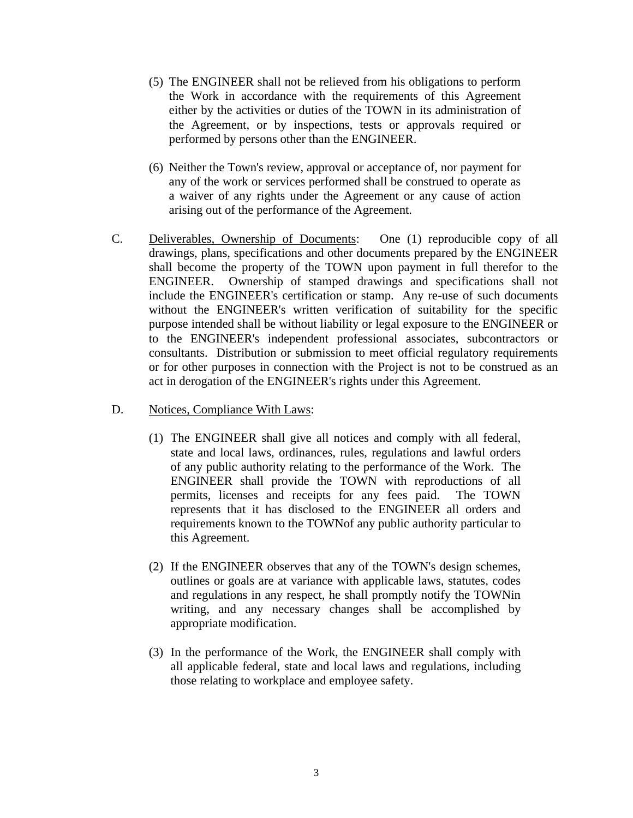- (5) The ENGINEER shall not be relieved from his obligations to perform the Work in accordance with the requirements of this Agreement either by the activities or duties of the TOWN in its administration of the Agreement, or by inspections, tests or approvals required or performed by persons other than the ENGINEER.
- (6) Neither the Town's review, approval or acceptance of, nor payment for any of the work or services performed shall be construed to operate as a waiver of any rights under the Agreement or any cause of action arising out of the performance of the Agreement.
- C. Deliverables, Ownership of Documents: One (1) reproducible copy of all drawings, plans, specifications and other documents prepared by the ENGINEER shall become the property of the TOWN upon payment in full therefor to the ENGINEER. Ownership of stamped drawings and specifications shall not include the ENGINEER's certification or stamp. Any re-use of such documents without the ENGINEER's written verification of suitability for the specific purpose intended shall be without liability or legal exposure to the ENGINEER or to the ENGINEER's independent professional associates, subcontractors or consultants. Distribution or submission to meet official regulatory requirements or for other purposes in connection with the Project is not to be construed as an act in derogation of the ENGINEER's rights under this Agreement.
- D. Notices, Compliance With Laws:
	- (1) The ENGINEER shall give all notices and comply with all federal, state and local laws, ordinances, rules, regulations and lawful orders of any public authority relating to the performance of the Work. The ENGINEER shall provide the TOWN with reproductions of all permits, licenses and receipts for any fees paid. The TOWN represents that it has disclosed to the ENGINEER all orders and requirements known to the TOWNof any public authority particular to this Agreement.
	- (2) If the ENGINEER observes that any of the TOWN's design schemes, outlines or goals are at variance with applicable laws, statutes, codes and regulations in any respect, he shall promptly notify the TOWNin writing, and any necessary changes shall be accomplished by appropriate modification.
	- (3) In the performance of the Work, the ENGINEER shall comply with all applicable federal, state and local laws and regulations, including those relating to workplace and employee safety.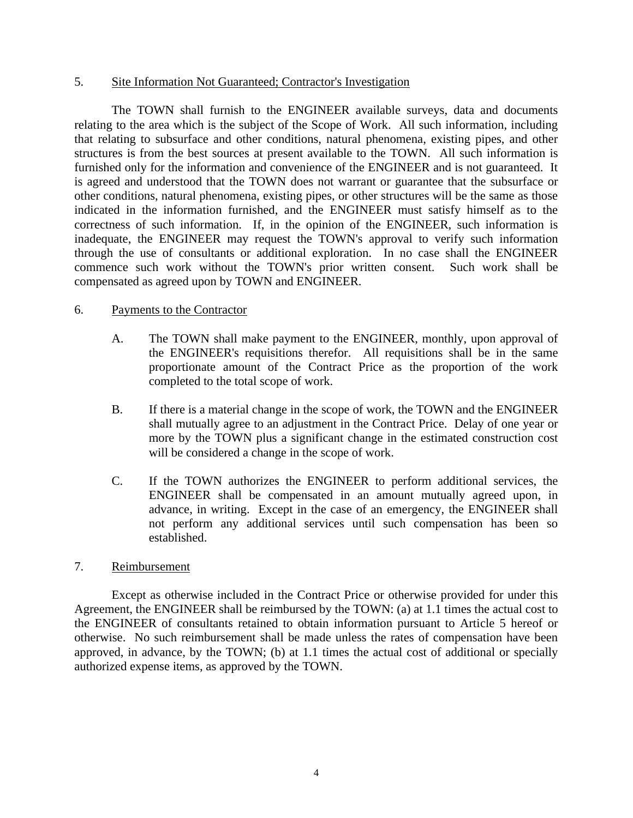#### 5. Site Information Not Guaranteed; Contractor's Investigation

The TOWN shall furnish to the ENGINEER available surveys, data and documents relating to the area which is the subject of the Scope of Work. All such information, including that relating to subsurface and other conditions, natural phenomena, existing pipes, and other structures is from the best sources at present available to the TOWN. All such information is furnished only for the information and convenience of the ENGINEER and is not guaranteed. It is agreed and understood that the TOWN does not warrant or guarantee that the subsurface or other conditions, natural phenomena, existing pipes, or other structures will be the same as those indicated in the information furnished, and the ENGINEER must satisfy himself as to the correctness of such information. If, in the opinion of the ENGINEER, such information is inadequate, the ENGINEER may request the TOWN's approval to verify such information through the use of consultants or additional exploration. In no case shall the ENGINEER commence such work without the TOWN's prior written consent. Such work shall be compensated as agreed upon by TOWN and ENGINEER.

### 6. Payments to the Contractor

- A. The TOWN shall make payment to the ENGINEER, monthly, upon approval of the ENGINEER's requisitions therefor. All requisitions shall be in the same proportionate amount of the Contract Price as the proportion of the work completed to the total scope of work.
- B. If there is a material change in the scope of work, the TOWN and the ENGINEER shall mutually agree to an adjustment in the Contract Price. Delay of one year or more by the TOWN plus a significant change in the estimated construction cost will be considered a change in the scope of work.
- C. If the TOWN authorizes the ENGINEER to perform additional services, the ENGINEER shall be compensated in an amount mutually agreed upon, in advance, in writing. Except in the case of an emergency, the ENGINEER shall not perform any additional services until such compensation has been so established.

### 7. Reimbursement

Except as otherwise included in the Contract Price or otherwise provided for under this Agreement, the ENGINEER shall be reimbursed by the TOWN: (a) at 1.1 times the actual cost to the ENGINEER of consultants retained to obtain information pursuant to Article 5 hereof or otherwise. No such reimbursement shall be made unless the rates of compensation have been approved, in advance, by the TOWN; (b) at 1.1 times the actual cost of additional or specially authorized expense items, as approved by the TOWN.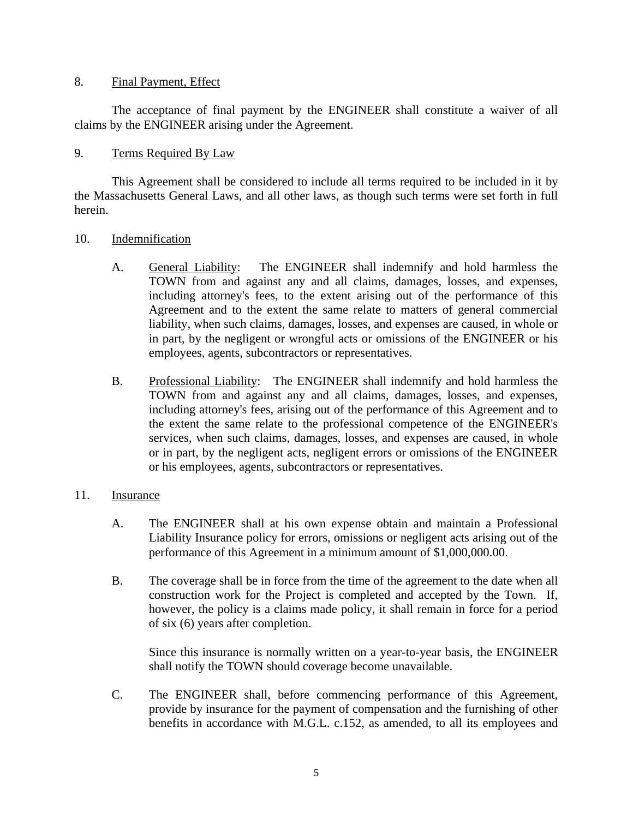#### 8. Final Payment, Effect

The acceptance of final payment by the ENGINEER shall constitute a waiver of all claims by the ENGINEER arising under the Agreement.

# 9. Terms Required By Law

This Agreement shall be considered to include all terms required to be included in it by the Massachusetts General Laws, and all other laws, as though such terms were set forth in full herein.

### 10. Indemnification

- A. General Liability: The ENGINEER shall indemnify and hold harmless the TOWN from and against any and all claims, damages, losses, and expenses, including attorney's fees, to the extent arising out of the performance of this Agreement and to the extent the same relate to matters of general commercial liability, when such claims, damages, losses, and expenses are caused, in whole or in part, by the negligent or wrongful acts or omissions of the ENGINEER or his employees, agents, subcontractors or representatives.
- B. Professional Liability: The ENGINEER shall indemnify and hold harmless the TOWN from and against any and all claims, damages, losses, and expenses, including attorney's fees, arising out of the performance of this Agreement and to the extent the same relate to the professional competence of the ENGINEER's services, when such claims, damages, losses, and expenses are caused, in whole or in part, by the negligent acts, negligent errors or omissions of the ENGINEER or his employees, agents, subcontractors or representatives.

### 11. Insurance

- A. The ENGINEER shall at his own expense obtain and maintain a Professional Liability Insurance policy for errors, omissions or negligent acts arising out of the performance of this Agreement in a minimum amount of \$1,000,000.00.
- B. The coverage shall be in force from the time of the agreement to the date when all construction work for the Project is completed and accepted by the Town. If, however, the policy is a claims made policy, it shall remain in force for a period of six (6) years after completion.

Since this insurance is normally written on a year-to-year basis, the ENGINEER shall notify the TOWN should coverage become unavailable.

C. The ENGINEER shall, before commencing performance of this Agreement, provide by insurance for the payment of compensation and the furnishing of other benefits in accordance with M.G.L. c.152, as amended, to all its employees and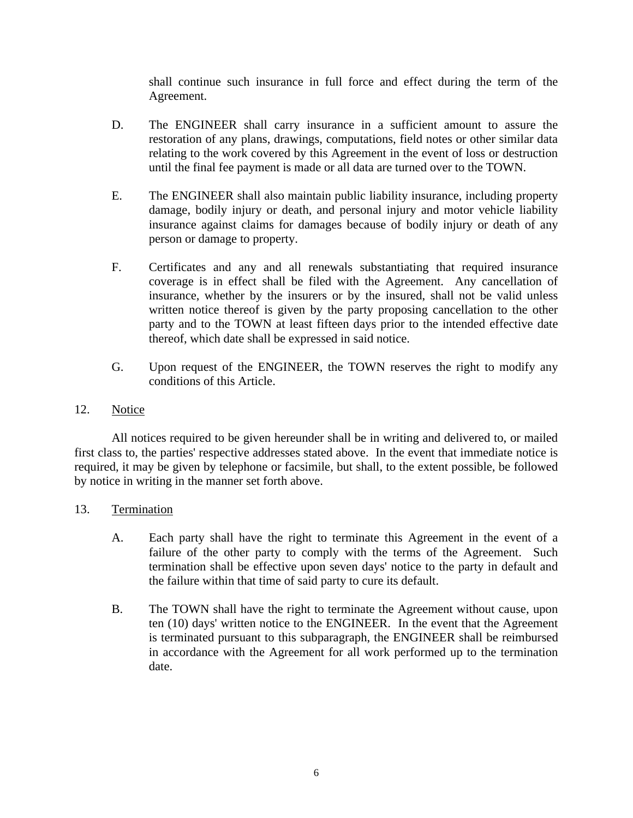shall continue such insurance in full force and effect during the term of the Agreement.

- D. The ENGINEER shall carry insurance in a sufficient amount to assure the restoration of any plans, drawings, computations, field notes or other similar data relating to the work covered by this Agreement in the event of loss or destruction until the final fee payment is made or all data are turned over to the TOWN.
- E. The ENGINEER shall also maintain public liability insurance, including property damage, bodily injury or death, and personal injury and motor vehicle liability insurance against claims for damages because of bodily injury or death of any person or damage to property.
- F. Certificates and any and all renewals substantiating that required insurance coverage is in effect shall be filed with the Agreement. Any cancellation of insurance, whether by the insurers or by the insured, shall not be valid unless written notice thereof is given by the party proposing cancellation to the other party and to the TOWN at least fifteen days prior to the intended effective date thereof, which date shall be expressed in said notice.
- G. Upon request of the ENGINEER, the TOWN reserves the right to modify any conditions of this Article.
- 12. Notice

All notices required to be given hereunder shall be in writing and delivered to, or mailed first class to, the parties' respective addresses stated above. In the event that immediate notice is required, it may be given by telephone or facsimile, but shall, to the extent possible, be followed by notice in writing in the manner set forth above.

- 13. Termination
	- A. Each party shall have the right to terminate this Agreement in the event of a failure of the other party to comply with the terms of the Agreement. Such termination shall be effective upon seven days' notice to the party in default and the failure within that time of said party to cure its default.
	- B. The TOWN shall have the right to terminate the Agreement without cause, upon ten (10) days' written notice to the ENGINEER. In the event that the Agreement is terminated pursuant to this subparagraph, the ENGINEER shall be reimbursed in accordance with the Agreement for all work performed up to the termination date.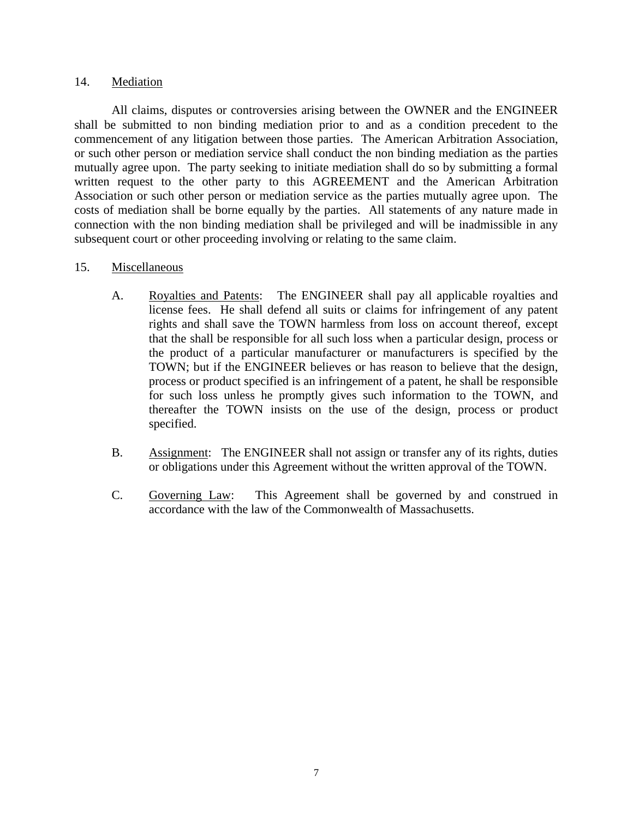### 14. Mediation

All claims, disputes or controversies arising between the OWNER and the ENGINEER shall be submitted to non binding mediation prior to and as a condition precedent to the commencement of any litigation between those parties. The American Arbitration Association, or such other person or mediation service shall conduct the non binding mediation as the parties mutually agree upon. The party seeking to initiate mediation shall do so by submitting a formal written request to the other party to this AGREEMENT and the American Arbitration Association or such other person or mediation service as the parties mutually agree upon. The costs of mediation shall be borne equally by the parties. All statements of any nature made in connection with the non binding mediation shall be privileged and will be inadmissible in any subsequent court or other proceeding involving or relating to the same claim.

#### 15. Miscellaneous

- A. Royalties and Patents: The ENGINEER shall pay all applicable royalties and license fees. He shall defend all suits or claims for infringement of any patent rights and shall save the TOWN harmless from loss on account thereof, except that the shall be responsible for all such loss when a particular design, process or the product of a particular manufacturer or manufacturers is specified by the TOWN; but if the ENGINEER believes or has reason to believe that the design, process or product specified is an infringement of a patent, he shall be responsible for such loss unless he promptly gives such information to the TOWN, and thereafter the TOWN insists on the use of the design, process or product specified.
- B. Assignment: The ENGINEER shall not assign or transfer any of its rights, duties or obligations under this Agreement without the written approval of the TOWN.
- C. Governing Law: This Agreement shall be governed by and construed in accordance with the law of the Commonwealth of Massachusetts.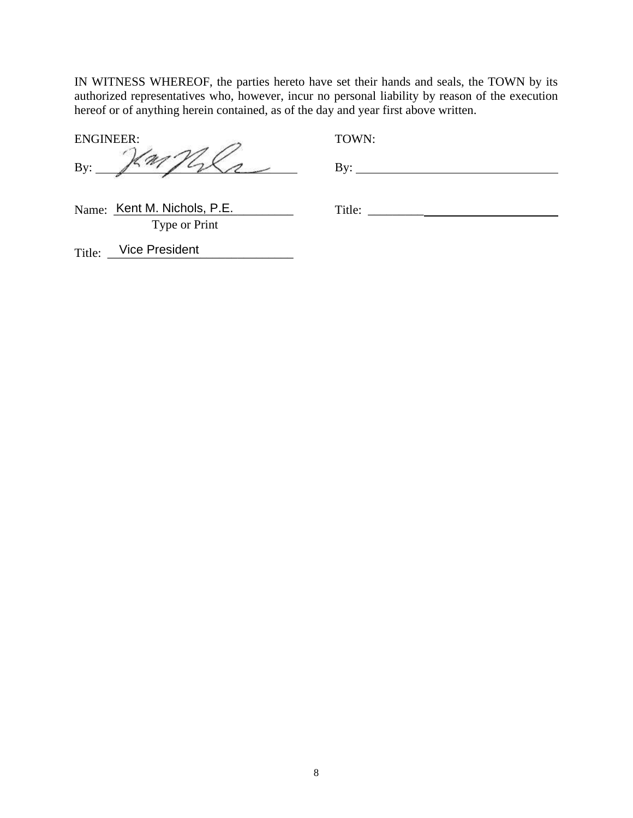IN WITNESS WHEREOF, the parties hereto have set their hands and seals, the TOWN by its authorized representatives who, however, incur no personal liability by reason of the execution hereof or of anything herein contained, as of the day and year first above written.

ENGINEER: TOWN:

 $By:$   $\frac{\gamma}{\gamma}$   $\frac{\gamma}{\gamma}$   $\frac{\gamma}{\gamma}$   $\frac{\gamma}{\gamma}$   $\frac{\gamma}{\gamma}$   $\frac{\gamma}{\gamma}$ 

Name: Kent M. Nichols, P.E. \_\_\_\_\_\_\_\_\_\_\_\_ Title: \_\_\_\_\_\_\_\_\_\_ Type or Print

Title: Vice President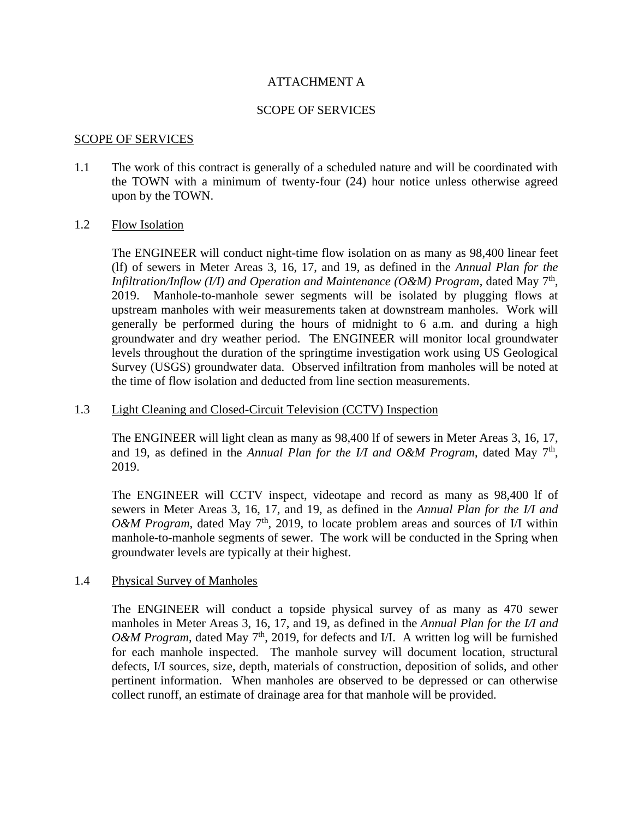### ATTACHMENT A

### SCOPE OF SERVICES

#### SCOPE OF SERVICES

1.1 The work of this contract is generally of a scheduled nature and will be coordinated with the TOWN with a minimum of twenty-four (24) hour notice unless otherwise agreed upon by the TOWN.

#### 1.2 Flow Isolation

The ENGINEER will conduct night-time flow isolation on as many as 98,400 linear feet (lf) of sewers in Meter Areas 3, 16, 17, and 19, as defined in the *Annual Plan for the Infiltration/Inflow (I/I) and Operation and Maintenance (O&M) Program*, dated May  $7<sup>th</sup>$ , 2019. Manhole-to-manhole sewer segments will be isolated by plugging flows at upstream manholes with weir measurements taken at downstream manholes. Work will generally be performed during the hours of midnight to 6 a.m. and during a high groundwater and dry weather period. The ENGINEER will monitor local groundwater levels throughout the duration of the springtime investigation work using US Geological Survey (USGS) groundwater data. Observed infiltration from manholes will be noted at the time of flow isolation and deducted from line section measurements.

#### 1.3 Light Cleaning and Closed-Circuit Television (CCTV) Inspection

The ENGINEER will light clean as many as 98,400 lf of sewers in Meter Areas 3, 16, 17, and 19, as defined in the *Annual Plan for the I/I and O&M Program*, dated May  $7<sup>th</sup>$ , 2019.

The ENGINEER will CCTV inspect, videotape and record as many as 98,400 lf of sewers in Meter Areas 3, 16, 17, and 19, as defined in the *Annual Plan for the I/I and O&M Program*, dated May 7<sup>th</sup>, 2019, to locate problem areas and sources of I/I within manhole-to-manhole segments of sewer. The work will be conducted in the Spring when groundwater levels are typically at their highest.

#### 1.4 Physical Survey of Manholes

The ENGINEER will conduct a topside physical survey of as many as 470 sewer manholes in Meter Areas 3, 16, 17, and 19, as defined in the *Annual Plan for the I/I and O&M Program*, dated May 7<sup>th</sup>, 2019, for defects and I/I. A written log will be furnished for each manhole inspected. The manhole survey will document location, structural defects, I/I sources, size, depth, materials of construction, deposition of solids, and other pertinent information. When manholes are observed to be depressed or can otherwise collect runoff, an estimate of drainage area for that manhole will be provided.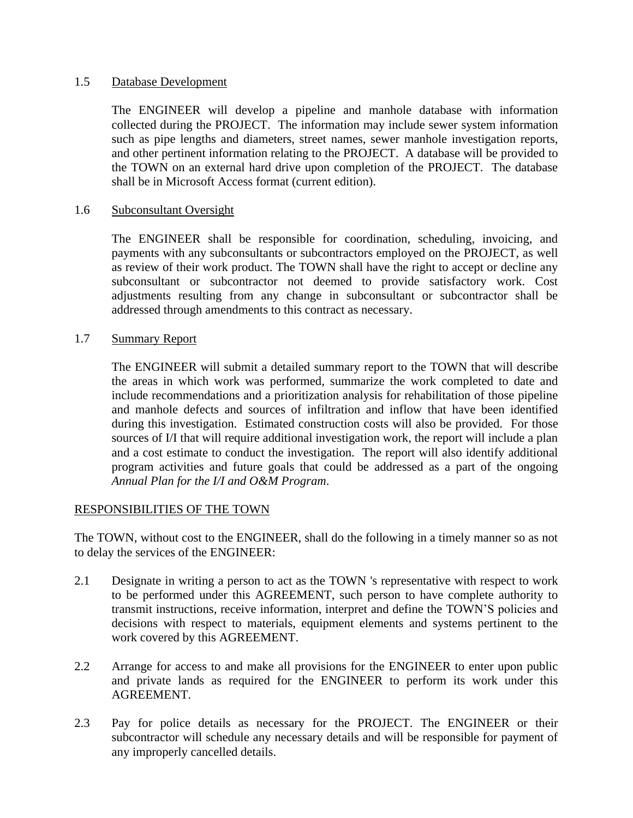### 1.5 Database Development

The ENGINEER will develop a pipeline and manhole database with information collected during the PROJECT. The information may include sewer system information such as pipe lengths and diameters, street names, sewer manhole investigation reports, and other pertinent information relating to the PROJECT. A database will be provided to the TOWN on an external hard drive upon completion of the PROJECT. The database shall be in Microsoft Access format (current edition).

# 1.6 Subconsultant Oversight

The ENGINEER shall be responsible for coordination, scheduling, invoicing, and payments with any subconsultants or subcontractors employed on the PROJECT, as well as review of their work product. The TOWN shall have the right to accept or decline any subconsultant or subcontractor not deemed to provide satisfactory work. Cost adjustments resulting from any change in subconsultant or subcontractor shall be addressed through amendments to this contract as necessary.

# 1.7 Summary Report

The ENGINEER will submit a detailed summary report to the TOWN that will describe the areas in which work was performed, summarize the work completed to date and include recommendations and a prioritization analysis for rehabilitation of those pipeline and manhole defects and sources of infiltration and inflow that have been identified during this investigation. Estimated construction costs will also be provided. For those sources of I/I that will require additional investigation work, the report will include a plan and a cost estimate to conduct the investigation. The report will also identify additional program activities and future goals that could be addressed as a part of the ongoing *Annual Plan for the I/I and O&M Program*.

### RESPONSIBILITIES OF THE TOWN

The TOWN, without cost to the ENGINEER, shall do the following in a timely manner so as not to delay the services of the ENGINEER:

- 2.1 Designate in writing a person to act as the TOWN 's representative with respect to work to be performed under this AGREEMENT, such person to have complete authority to transmit instructions, receive information, interpret and define the TOWN'S policies and decisions with respect to materials, equipment elements and systems pertinent to the work covered by this AGREEMENT.
- 2.2 Arrange for access to and make all provisions for the ENGINEER to enter upon public and private lands as required for the ENGINEER to perform its work under this AGREEMENT.
- 2.3 Pay for police details as necessary for the PROJECT. The ENGINEER or their subcontractor will schedule any necessary details and will be responsible for payment of any improperly cancelled details.